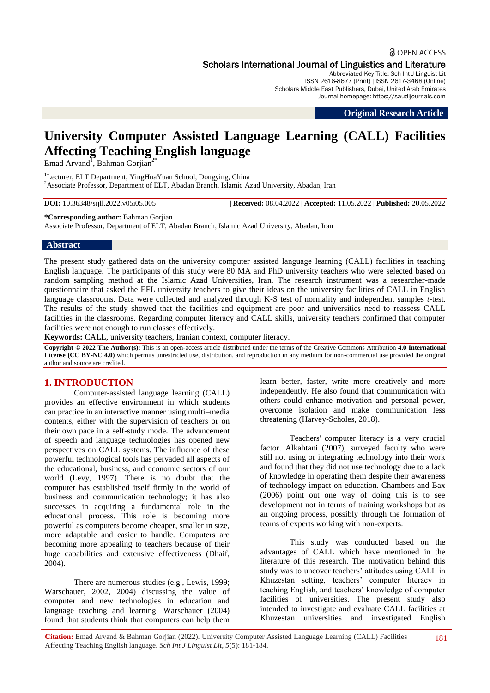# **a** OPEN ACCESS Scholars International Journal of Linguistics and Literature

Abbreviated Key Title: Sch Int J Linguist Lit ISSN 2616-8677 (Print) |ISSN 2617-3468 (Online) Scholars Middle East Publishers, Dubai, United Arab Emirates Journal homepage: https://saudijournals.com

**Original Research Article**

# **University Computer Assisted Language Learning (CALL) Facilities Affecting Teaching English language**

Emad Arvand<sup>1</sup>, Bahman Gorjian<sup>2\*</sup>

<sup>1</sup>Lecturer, ELT Department, YingHuaYuan School, Dongying, China <sup>2</sup>Associate Professor, Department of ELT, Abadan Branch, Islamic Azad University, Abadan, Iran

**DOI:** 10.36348/sijll.2022.v05i05.005 | **Received:** 08.04.2022 | **Accepted:** 11.05.2022 | **Published:** 20.05.2022

**\*Corresponding author:** Bahman Gorjian

Associate Professor, Department of ELT, Abadan Branch, Islamic Azad University, Abadan, Iran

#### **Abstract**

The present study gathered data on the university computer assisted language learning (CALL) facilities in teaching English language. The participants of this study were 80 MA and PhD university teachers who were selected based on random sampling method at the Islamic Azad Universities, Iran. The research instrument was a researcher-made questionnaire that asked the EFL university teachers to give their ideas on the university facilities of CALL in English language classrooms. Data were collected and analyzed through K-S test of normality and independent samples *t-*test. The results of the study showed that the facilities and equipment are poor and universities need to reassess CALL facilities in the classrooms. Regarding computer literacy and CALL skills, university teachers confirmed that computer facilities were not enough to run classes effectively.

**Keywords:** CALL, university teachers, Iranian context, computer literacy.

**Copyright © 2022 The Author(s):** This is an open-access article distributed under the terms of the Creative Commons Attribution **4.0 International License (CC BY-NC 4.0)** which permits unrestricted use, distribution, and reproduction in any medium for non-commercial use provided the original author and source are credited.

# **1. INTRODUCTION**

Computer-assisted language learning (CALL) provides an effective environment in which students can practice in an interactive manner using multi–media contents, either with the supervision of teachers or on their own pace in a self-study mode. The advancement of speech and language technologies has opened new perspectives on CALL systems. The influence of these powerful technological tools has pervaded all aspects of the educational, business, and economic sectors of our world (Levy, 1997). There is no doubt that the computer has established itself firmly in the world of business and communication technology; it has also successes in acquiring a fundamental role in the educational process. This role is becoming more powerful as computers become cheaper, smaller in size, more adaptable and easier to handle. Computers are becoming more appealing to teachers because of their huge capabilities and extensive effectiveness (Dhaif, 2004).

There are numerous studies (e.g., Lewis, 1999; Warschauer, 2002, 2004) discussing the value of computer and new technologies in education and language teaching and learning. Warschauer (2004) found that students think that computers can help them

learn better, faster, write more creatively and more independently. He also found that communication with others could enhance motivation and personal power, overcome isolation and make communication less threatening (Harvey-Scholes, 2018).

Teachers' computer literacy is a very crucial factor. Alkahtani (2007), surveyed faculty who were still not using or integrating technology into their work and found that they did not use technology due to a lack of knowledge in operating them despite their awareness of technology impact on education. Chambers and Bax (2006) point out one way of doing this is to see development not in terms of training workshops but as an ongoing process, possibly through the formation of teams of experts working with non-experts.

This study was conducted based on the advantages of CALL which have mentioned in the literature of this research. The motivation behind this study was to uncover teachers' attitudes using CALL in Khuzestan setting, teachers' computer literacy in teaching English, and teachers' knowledge of computer facilities of universities. The present study also intended to investigate and evaluate CALL facilities at Khuzestan universities and investigated English

**Citation:** Emad Arvand & Bahman Gorjian (2022). University Computer Assisted Language Learning (CALL) Facilities Affecting Teaching English language. *Sch Int J Linguist Lit, 5*(5): 181-184.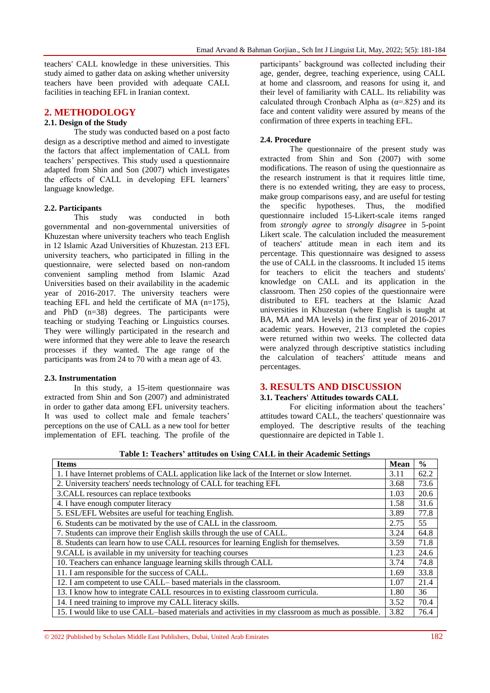teachers' CALL knowledge in these universities. This study aimed to gather data on asking whether university teachers have been provided with adequate CALL facilities in teaching EFL in Iranian context.

# **2. METHODOLOGY**

# **2.1. Design of the Study**

The study was conducted based on a post facto design as a descriptive method and aimed to investigate the factors that affect implementation of CALL from teachers' perspectives. This study used a questionnaire adapted from Shin and Son (2007) which investigates the effects of CALL in developing EFL learners' language knowledge.

### **2.2. Participants**

This study was conducted in both governmental and non-governmental universities of Khuzestan where university teachers who teach English in 12 Islamic Azad Universities of Khuzestan. 213 EFL university teachers, who participated in filling in the questionnaire, were selected based on non-random convenient sampling method from Islamic Azad Universities based on their availability in the academic year of 2016-2017. The university teachers were teaching EFL and held the certificate of MA (n=175), and PhD (n=38) degrees. The participants were teaching or studying Teaching or Linguistics courses. They were willingly participated in the research and were informed that they were able to leave the research processes if they wanted. The age range of the participants was from 24 to 70 with a mean age of 43.

### **2.3. Instrumentation**

In this study, a 15-item questionnaire was extracted from Shin and Son (2007) and administrated in order to gather data among EFL university teachers. It was used to collect male and female teachers' perceptions on the use of CALL as a new tool for better implementation of EFL teaching. The profile of the

participants' background was collected including their age, gender, degree, teaching experience, using CALL at home and classroom, and reasons for using it, and their level of familiarity with CALL. Its reliability was calculated through Cronbach Alpha as  $(\alpha = .825)$  and its face and content validity were assured by means of the confirmation of three experts in teaching EFL.

# **2.4. Procedure**

The questionnaire of the present study was extracted from Shin and Son (2007) with some modifications. The reason of using the questionnaire as the research instrument is that it requires little time, there is no extended writing, they are easy to process, make group comparisons easy, and are useful for testing the specific hypotheses. Thus, the modified questionnaire included 15-Likert-scale items ranged from *strongly agree* to *strongly disagree* in 5-point Likert scale. The calculation included the measurement of teachers' attitude mean in each item and its percentage. This questionnaire was designed to assess the use of CALL in the classrooms. It included 15 items for teachers to elicit the teachers and students' knowledge on CALL and its application in the classroom. Then 250 copies of the questionnaire were distributed to EFL teachers at the Islamic Azad universities in Khuzestan (where English is taught at BA, MA and MA levels) in the first year of 2016-2017 academic years. However, 213 completed the copies were returned within two weeks. The collected data were analyzed through descriptive statistics including the calculation of teachers' attitude means and percentages.

# **3. RESULTS AND DISCUSSION**

### **3.1. Teachers' Attitudes towards CALL**

For eliciting information about the teachers' attitudes toward CALL, the teachers' questionnaire was employed. The descriptive results of the teaching questionnaire are depicted in Table 1.

| Table 1: Teachers attitudes on Using CALL in their Academic Settings                             |             |               |
|--------------------------------------------------------------------------------------------------|-------------|---------------|
| <b>Items</b>                                                                                     | <b>Mean</b> | $\frac{0}{0}$ |
| 1. I have Internet problems of CALL application like lack of the Internet or slow Internet.      | 3.11        | 62.2          |
| 2. University teachers' needs technology of CALL for teaching EFL                                | 3.68        | 73.6          |
| 3. CALL resources can replace textbooks                                                          | 1.03        | 20.6          |
| 4. I have enough computer literacy                                                               | 1.58        | 31.6          |
| 5. ESL/EFL Websites are useful for teaching English.                                             | 3.89        | 77.8          |
| 6. Students can be motivated by the use of CALL in the classroom.                                | 2.75        | 55            |
| 7. Students can improve their English skills through the use of CALL.                            | 3.24        | 64.8          |
| 8. Students can learn how to use CALL resources for learning English for themselves.             | 3.59        | 71.8          |
| 9. CALL is available in my university for teaching courses                                       | 1.23        | 24.6          |
| 10. Teachers can enhance language learning skills through CALL                                   | 3.74        | 74.8          |
| 11. I am responsible for the success of CALL.                                                    | 1.69        | 33.8          |
| 12. I am competent to use CALL-based materials in the classroom.                                 | 1.07        | 21.4          |
| 13. I know how to integrate CALL resources in to existing classroom curricula.                   | 1.80        | 36            |
| 14. I need training to improve my CALL literacy skills.                                          | 3.52        | 70.4          |
| 15. I would like to use CALL-based materials and activities in my classroom as much as possible. | 3.82        | 76.4          |

**Table 1: Teachers' attitudes on Using CALL in their Academic Settings**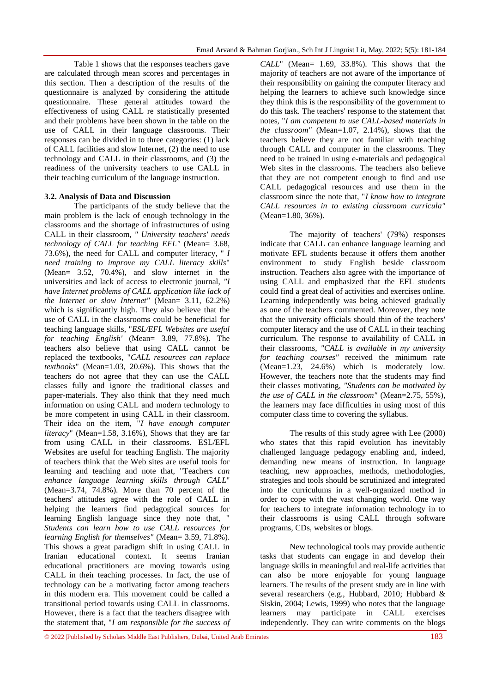Table 1 shows that the responses teachers gave are calculated through mean scores and percentages in this section. Then a description of the results of the questionnaire is analyzed by considering the attitude questionnaire. These general attitudes toward the effectiveness of using CALL re statistically presented and their problems have been shown in the table on the use of CALL in their language classrooms. Their responses can be divided in to three categories: (1) lack of CALL facilities and slow Internet, (2) the need to use technology and CALL in their classrooms, and (3) the readiness of the university teachers to use CALL in their teaching curriculum of the language instruction.

### **3.2. Analysis of Data and Discussion**

The participants of the study believe that the main problem is the lack of enough technology in the classrooms and the shortage of infrastructures of using CALL in their classroom, *" University teachers' needs technology of CALL for teaching EFL"* (Mean= 3.68, 73.6%), the need for CALL and computer literacy, " *I need training to improve my CALL literacy skills*" (Mean= 3.52, 70.4%), and slow internet in the universities and lack of access to electronic journal, *"I have Internet problems of CALL application like lack of the Internet or slow Internet"* (Mean= 3.11, 62.2%) which is significantly high. They also believe that the use of CALL in the classrooms could be beneficial for teaching language skills, "*ESL/EFL Websites are useful for teaching English'* (Mean= 3.89, 77.8%). The teachers also believe that using CALL cannot be replaced the textbooks, "*CALL resources can replace textbooks*" (Mean=1.03, 20.6%). This shows that the teachers do not agree that they can use the CALL classes fully and ignore the traditional classes and paper-materials. They also think that they need much information on using CALL and modern technology to be more competent in using CALL in their classroom. Their idea on the item, "*I have enough computer literacy*" (Mean=1.58, 3.16%), Shows that they are far from using CALL in their classrooms. ESL/EFL Websites are useful for teaching English. The majority of teachers think that the Web sites are useful tools for learning and teaching and note that, "Teachers *can enhance language learning skills through CALL*" (Mean=3.74, 74.8%). More than 70 percent of the teachers' attitudes agree with the role of CALL in helping the learners find pedagogical sources for learning English language since they note that, " *Students can learn how to use CALL resources for learning English for themselves"* (Mean= 3.59, 71.8%). This shows a great paradigm shift in using CALL in Iranian educational context. It seems Iranian educational practitioners are moving towards using CALL in their teaching processes. In fact, the use of technology can be a motivating factor among teachers in this modern era. This movement could be called a transitional period towards using CALL in classrooms. However, there is a fact that the teachers disagree with the statement that, "*I am responsible for the success of* 

*CALL*" (Mean= 1.69, 33.8%). This shows that the majority of teachers are not aware of the importance of their responsibility on gaining the computer literacy and helping the learners to achieve such knowledge since they think this is the responsibility of the government to do this task. The teachers' response to the statement that notes, "*I am competent to use CALL-based materials in the classroom"* (Mean=1.07, 2.14%), shows that the teachers believe they are not familiar with teaching through CALL and computer in the classrooms. They need to be trained in using e-materials and pedagogical Web sites in the classrooms. The teachers also believe that they are not competent enough to find and use CALL pedagogical resources and use them in the classroom since the note that, "*I know how to integrate CALL resources in to existing classroom curricula"* (Mean=1.80, 36%).

The majority of teachers' (79%) responses indicate that CALL can enhance language learning and motivate EFL students because it offers them another environment to study English beside classroom instruction. Teachers also agree with the importance of using CALL and emphasized that the EFL students could find a great deal of activities and exercises online. Learning independently was being achieved gradually as one of the teachers commented. Moreover, they note that the university officials should thin of the teachers' computer literacy and the use of CALL in their teaching curriculum. The response to availability of CALL in their classrooms, *"CALL is available in my university for teaching courses"* received the minimum rate (Mean=1.23, 24.6%) which is moderately low. However, the teachers note that the students may find their classes motivating, *"Students can be motivated by the use of CALL in the classroom"* (Mean=2.75, 55%), the learners may face difficulties in using most of this computer class time to covering the syllabus.

The results of this study agree with Lee (2000) who states that this rapid evolution has inevitably challenged language pedagogy enabling and, indeed, demanding new means of instruction. In language teaching, new approaches, methods, methodologies, strategies and tools should be scrutinized and integrated into the curriculums in a well-organized method in order to cope with the vast changing world. One way for teachers to integrate information technology in to their classrooms is using CALL through software programs, CDs, websites or blogs.

New technological tools may provide authentic tasks that students can engage in and develop their language skills in meaningful and real-life activities that can also be more enjoyable for young language learners. The results of the present study are in line with several researchers (e.g., Hubbard, 2010; Hubbard & Siskin, 2004; Lewis, 1999) who notes that the language learners may participate in CALL exercises independently. They can write comments on the blogs